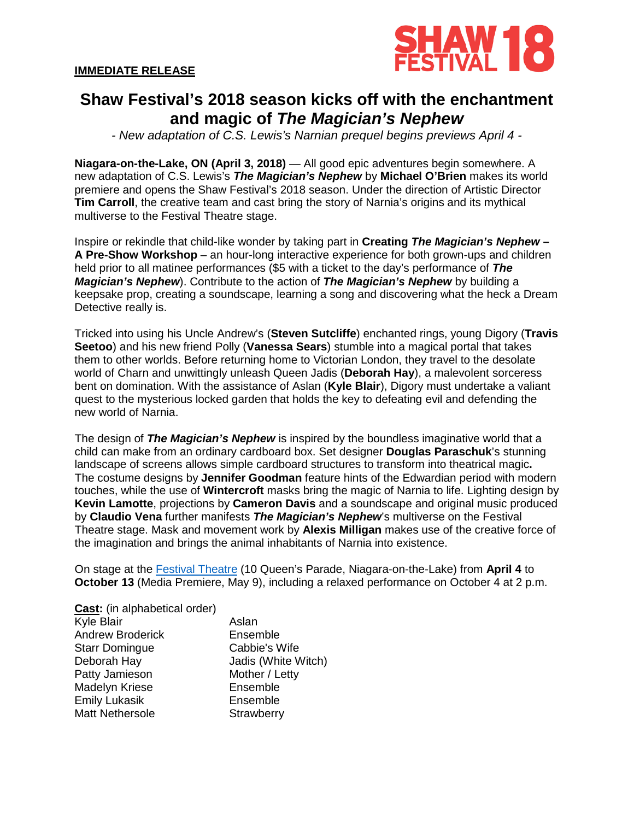

# **Shaw Festival's 2018 season kicks off with the enchantment and magic of** *The Magician's Nephew*

*- New adaptation of C.S. Lewis's Narnian prequel begins previews April 4 -*

**Niagara-on-the-Lake, ON (April 3, 2018)** — All good epic adventures begin somewhere. A new adaptation of C.S. Lewis's *The Magician's Nephew* by **Michael O'Brien** makes its world premiere and opens the Shaw Festival's 2018 season. Under the direction of Artistic Director **Tim Carroll**, the creative team and cast bring the story of Narnia's origins and its mythical multiverse to the Festival Theatre stage.

Inspire or rekindle that child-like wonder by taking part in **Creating** *The Magician's Nephew* **– A Pre-Show Workshop** – an hour-long interactive experience for both grown-ups and children held prior to all matinee performances (\$5 with a ticket to the day's performance of *The Magician's Nephew*). Contribute to the action of *The Magician's Nephew* by building a keepsake prop, creating a soundscape, learning a song and discovering what the heck a Dream Detective really is.

Tricked into using his Uncle Andrew's (**Steven Sutcliffe**) enchanted rings, young Digory (**Travis Seetoo**) and his new friend Polly (**Vanessa Sears**) stumble into a magical portal that takes them to other worlds. Before returning home to Victorian London, they travel to the desolate world of Charn and unwittingly unleash Queen Jadis (**Deborah Hay**), a malevolent sorceress bent on domination. With the assistance of Aslan (**Kyle Blair**), Digory must undertake a valiant quest to the mysterious locked garden that holds the key to defeating evil and defending the new world of Narnia.

The design of *The Magician's Nephew* is inspired by the boundless imaginative world that a child can make from an ordinary cardboard box. Set designer **Douglas Paraschuk**'s stunning landscape of screens allows simple cardboard structures to transform into theatrical magic**.** The costume designs by **Jennifer Goodman** feature hints of the Edwardian period with modern touches, while the use of **Wintercroft** masks bring the magic of Narnia to life. Lighting design by **Kevin Lamotte**, projections by **Cameron Davis** and a soundscape and original music produced by **Claudio Vena** further manifests *The Magician's Nephew*'s multiverse on the Festival Theatre stage. Mask and movement work by **Alexis Milligan** makes use of the creative force of the imagination and brings the animal inhabitants of Narnia into existence.

On stage at the [Festival Theatre](http://www.shawfest.com/visit/theatres/#festival-theatre) (10 Queen's Parade, Niagara-on-the-Lake) from **April 4** to **October 13** (Media Premiere, May 9), including a relaxed performance on October 4 at 2 p.m.

| Aslan               |
|---------------------|
| Ensemble            |
| Cabbie's Wife       |
| Jadis (White Witch) |
| Mother / Letty      |
| Ensemble            |
| Ensemble            |
| Strawberry          |
|                     |